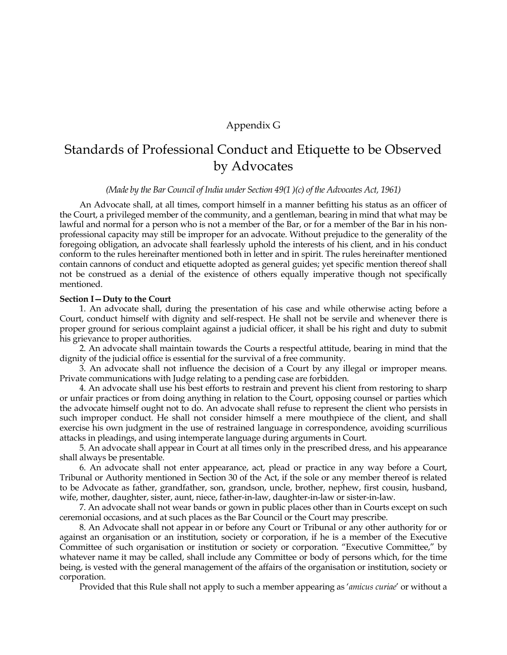# Appendix G

# Standards of Professional Conduct and Etiquette to be Observed by Advocates

#### *(Made by the Bar Council of India under Section 49(1 )(c) of the Advocates Act, 1961)*

An Advocate shall, at all times, comport himself in a manner befitting his status as an officer of the Court, a privileged member of the community, and a gentleman, bearing in mind that what may be lawful and normal for a person who is not a member of the Bar, or for a member of the Bar in his nonprofessional capacity may still be improper for an advocate. Without prejudice to the generality of the foregoing obligation, an advocate shall fearlessly uphold the interests of his client, and in his conduct conform to the rules hereinafter mentioned both in letter and in spirit. The rules hereinafter mentioned contain cannons of conduct and etiquette adopted as general guides; yet specific mention thereof shall not be construed as a denial of the existence of others equally imperative though not specifically mentioned.

## **Section I—Duty to the Court**

1. An advocate shall, during the presentation of his case and while otherwise acting before a Court, conduct himself with dignity and self-respect. He shall not be servile and whenever there is proper ground for serious complaint against a judicial officer, it shall be his right and duty to submit his grievance to proper authorities.

2. An advocate shall maintain towards the Courts a respectful attitude, bearing in mind that the dignity of the judicial office is essential for the survival of a free community.

3. An advocate shall not influence the decision of a Court by any illegal or improper means. Private communications with Judge relating to a pending case are forbidden.

4. An advocate shall use his best efforts to restrain and prevent his client from restoring to sharp or unfair practices or from doing anything in relation to the Court, opposing counsel or parties which the advocate himself ought not to do. An advocate shall refuse to represent the client who persists in such improper conduct. He shall not consider himself a mere mouthpiece of the client, and shall exercise his own judgment in the use of restrained language in correspondence, avoiding scurrilious attacks in pleadings, and using intemperate language during arguments in Court.

5. An advocate shall appear in Court at all times only in the prescribed dress, and his appearance shall always be presentable.

6. An advocate shall not enter appearance, act, plead or practice in any way before a Court, Tribunal or Authority mentioned in Section 30 of the Act, if the sole or any member thereof is related to be Advocate as father, grandfather, son, grandson, uncle, brother, nephew, first cousin, husband, wife, mother, daughter, sister, aunt, niece, father-in-law, daughter-in-law or sister-in-law.

7. An advocate shall not wear bands or gown in public places other than in Courts except on such ceremonial occasions, and at such places as the Bar Council or the Court may prescribe.

8. An Advocate shall not appear in or before any Court or Tribunal or any other authority for or against an organisation or an institution, society or corporation, if he is a member of the Executive Committee of such organisation or institution or society or corporation. "Executive Committee," by whatever name it may be called, shall include any Committee or body of persons which, for the time being, is vested with the general management of the affairs of the organisation or institution, society or corporation.

Provided that this Rule shall not apply to such a member appearing as "*amicus curiae*" or without a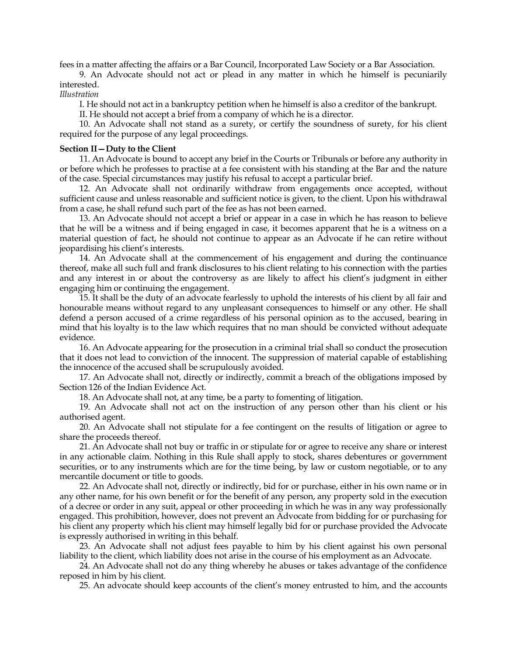fees in a matter affecting the affairs or a Bar Council, Incorporated Law Society or a Bar Association.

9. An Advocate should not act or plead in any matter in which he himself is pecuniarily interested.

*Illustration*

I. He should not act in a bankruptcy petition when he himself is also a creditor of the bankrupt.

II. He should not accept a brief from a company of which he is a director.

10. An Advocate shall not stand as a surety, or certify the soundness of surety, for his client required for the purpose of any legal proceedings.

## **Section II—Duty to the Client**

11. An Advocate is bound to accept any brief in the Courts or Tribunals or before any authority in or before which he professes to practise at a fee consistent with his standing at the Bar and the nature of the case. Special circumstances may justify his refusal to accept a particular brief.

12. An Advocate shall not ordinarily withdraw from engagements once accepted, without sufficient cause and unless reasonable and sufficient notice is given, to the client. Upon his withdrawal from a case, he shall refund such part of the fee as has not been earned.

13. An Advocate should not accept a brief or appear in a case in which he has reason to believe that he will be a witness and if being engaged in case, it becomes apparent that he is a witness on a material question of fact, he should not continue to appear as an Advocate if he can retire without jeopardising his client's interests.

14. An Advocate shall at the commencement of his engagement and during the continuance thereof, make all such full and frank disclosures to his client relating to his connection with the parties and any interest in or about the controversy as are likely to affect his client"s judgment in either engaging him or continuing the engagement.

15. It shall be the duty of an advocate fearlessly to uphold the interests of his client by all fair and honourable means without regard to any unpleasant consequences to himself or any other. He shall defend a person accused of a crime regardless of his personal opinion as to the accused, bearing in mind that his loyalty is to the law which requires that no man should be convicted without adequate evidence.

16. An Advocate appearing for the prosecution in a criminal trial shall so conduct the prosecution that it does not lead to conviction of the innocent. The suppression of material capable of establishing the innocence of the accused shall be scrupulously avoided.

17. An Advocate shall not, directly or indirectly, commit a breach of the obligations imposed by Section 126 of the Indian Evidence Act.

18. An Advocate shall not, at any time, be a party to fomenting of litigation.

19. An Advocate shall not act on the instruction of any person other than his client or his authorised agent.

20. An Advocate shall not stipulate for a fee contingent on the results of litigation or agree to share the proceeds thereof.

21. An Advocate shall not buy or traffic in or stipulate for or agree to receive any share or interest in any actionable claim. Nothing in this Rule shall apply to stock, shares debentures or government securities, or to any instruments which are for the time being, by law or custom negotiable, or to any mercantile document or title to goods.

22. An Advocate shall not, directly or indirectly, bid for or purchase, either in his own name or in any other name, for his own benefit or for the benefit of any person, any property sold in the execution of a decree or order in any suit, appeal or other proceeding in which he was in any way professionally engaged. This prohibition, however, does not prevent an Advocate from bidding for or purchasing for his client any property which his client may himself legally bid for or purchase provided the Advocate is expressly authorised in writing in this behalf.

23. An Advocate shall not adjust fees payable to him by his client against his own personal liability to the client, which liability does not arise in the course of his employment as an Advocate.

24. An Advocate shall not do any thing whereby he abuses or takes advantage of the confidence reposed in him by his client.

25. An advocate should keep accounts of the client"s money entrusted to him, and the accounts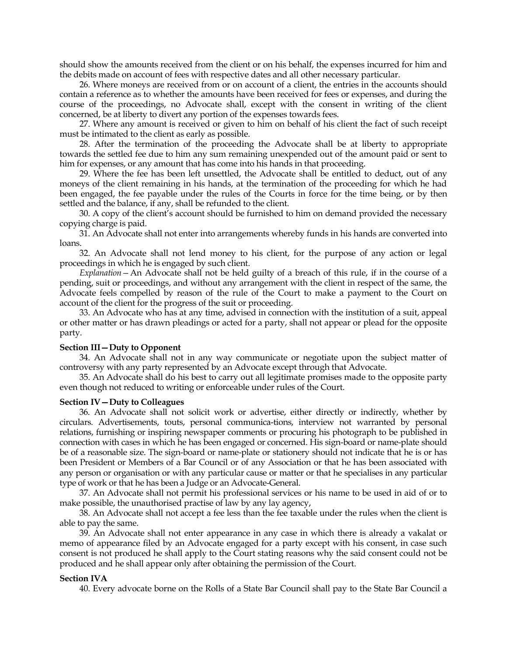should show the amounts received from the client or on his behalf, the expenses incurred for him and the debits made on account of fees with respective dates and all other necessary particular.

26. Where moneys are received from or on account of a client, the entries in the accounts should contain a reference as to whether the amounts have been received for fees or expenses, and during the course of the proceedings, no Advocate shall, except with the consent in writing of the client concerned, be at liberty to divert any portion of the expenses towards fees.

27. Where any amount is received or given to him on behalf of his client the fact of such receipt must be intimated to the client as early as possible.

28. After the termination of the proceeding the Advocate shall be at liberty to appropriate towards the settled fee due to him any sum remaining unexpended out of the amount paid or sent to him for expenses, or any amount that has come into his hands in that proceeding.

29. Where the fee has been left unsettled, the Advocate shall be entitled to deduct, out of any moneys of the client remaining in his hands, at the termination of the proceeding for which he had been engaged, the fee payable under the rules of the Courts in force for the time being, or by then settled and the balance, if any, shall be refunded to the client.

30. A copy of the client"s account should be furnished to him on demand provided the necessary copying charge is paid.

31. An Advocate shall not enter into arrangements whereby funds in his hands are converted into loans.

32. An Advocate shall not lend money to his client, for the purpose of any action or legal proceedings in which he is engaged by such client.

*Explanation—*An Advocate shall not be held guilty of a breach of this rule, if in the course of a pending, suit or proceedings, and without any arrangement with the client in respect of the same, the Advocate feels compelled by reason of the rule of the Court to make a payment to the Court on account of the client for the progress of the suit or proceeding.

33. An Advocate who has at any time, advised in connection with the institution of a suit, appeal or other matter or has drawn pleadings or acted for a party, shall not appear or plead for the opposite party.

#### **Section III—Duty to Opponent**

34. An Advocate shall not in any way communicate or negotiate upon the subject matter of controversy with any party represented by an Advocate except through that Advocate.

35. An Advocate shall do his best to carry out all legitimate promises made to the opposite party even though not reduced to writing or enforceable under rules of the Court.

#### **Section IV—Duty to Colleagues**

36. An Advocate shall not solicit work or advertise, either directly or indirectly, whether by circulars. Advertisements, touts, personal communica-tions, interview not warranted by personal relations, furnishing or inspiring newspaper comments or procuring his photograph to be published in connection with cases in which he has been engaged or concerned. His sign-board or name-plate should be of a reasonable size. The sign-board or name-plate or stationery should not indicate that he is or has been President or Members of a Bar Council or of any Association or that he has been associated with any person or organisation or with any particular cause or matter or that he specialises in any particular type of work or that he has been a Judge or an Advocate-General.

37. An Advocate shall not permit his professional services or his name to be used in aid of or to make possible, the unauthorised practise of law by any lay agency,

38. An Advocate shall not accept a fee less than the fee taxable under the rules when the client is able to pay the same.

39. An Advocate shall not enter appearance in any case in which there is already a vakalat or memo of appearance filed by an Advocate engaged for a party except with his consent, in case such consent is not produced he shall apply to the Court stating reasons why the said consent could not be produced and he shall appear only after obtaining the permission of the Court.

## **Section IVA**

40. Every advocate borne on the Rolls of a State Bar Council shall pay to the State Bar Council a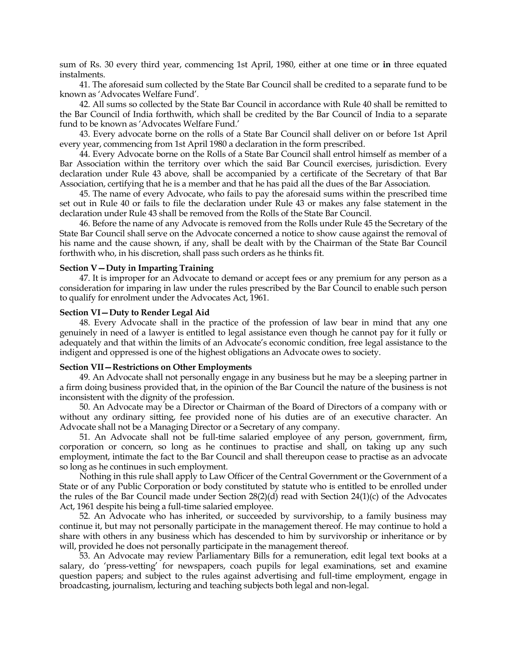sum of Rs. 30 every third year, commencing 1st April, 1980, either at one time or **in** three equated instalments.

41. The aforesaid sum collected by the State Bar Council shall be credited to a separate fund to be known as "Advocates Welfare Fund".

42. All sums so collected by the State Bar Council in accordance with Rule 40 shall be remitted to the Bar Council of India forthwith, which shall be credited by the Bar Council of India to a separate fund to be known as 'Advocates Welfare Fund.'

43. Every advocate borne on the rolls of a State Bar Council shall deliver on or before 1st April every year, commencing from 1st April 1980 a declaration in the form prescribed.

44. Every Advocate borne on the Rolls of a State Bar Council shall entrol himself as member of a Bar Association within the territory over which the said Bar Council exercises, jurisdiction. Every declaration under Rule 43 above, shall be accompanied by a certificate of the Secretary of that Bar Association, certifying that he is a member and that he has paid all the dues of the Bar Association.

45. The name of every Advocate, who fails to pay the aforesaid sums within the prescribed time set out in Rule 40 or fails to file the declaration under Rule 43 or makes any false statement in the declaration under Rule 43 shall be removed from the Rolls of the State Bar Council.

46. Before the name of any Advocate is removed from the Rolls under Rule 45 the Secretary of the State Bar Council shall serve on the Advocate concerned a notice to show cause against the removal of his name and the cause shown, if any, shall be dealt with by the Chairman of the State Bar Council forthwith who, in his discretion, shall pass such orders as he thinks fit.

## **Section V—Duty in Imparting Training**

47. It is improper for an Advocate to demand or accept fees or any premium for any person as a consideration for imparing in law under the rules prescribed by the Bar Council to enable such person to qualify for enrolment under the Advocates Act, 1961.

## **Section VI—Duty to Render Legal Aid**

48. Every Advocate shall in the practice of the profession of law bear in mind that any one genuinely in need of a lawyer is entitled to legal assistance even though he cannot pay for it fully or adequately and that within the limits of an Advocate"s economic condition, free legal assistance to the indigent and oppressed is one of the highest obligations an Advocate owes to society.

## **Section VII—Restrictions on Other Employments**

49. An Advocate shall not personally engage in any business but he may be a sleeping partner in a firm doing business provided that, in the opinion of the Bar Council the nature of the business is not inconsistent with the dignity of the profession.

50. An Advocate may be a Director or Chairman of the Board of Directors of a company with or without any ordinary sitting, fee provided none of his duties are of an executive character. An Advocate shall not be a Managing Director or a Secretary of any company.

51. An Advocate shall not be full-time salaried employee of any person, government, firm, corporation or concern, so long as he continues to practise and shall, on taking up any such employment, intimate the fact to the Bar Council and shall thereupon cease to practise as an advocate so long as he continues in such employment.

Nothing in this rule shall apply to Law Officer of the Central Government or the Government of a State or of any Public Corporation or body constituted by statute who is entitled to be enrolled under the rules of the Bar Council made under Section 28(2)(d) read with Section 24(1)(c) of the Advocates Act, 1961 despite his being a full-time salaried employee.

52. An Advocate who has inherited, or succeeded by survivorship, to a family business may continue it, but may not personally participate in the management thereof. He may continue to hold a share with others in any business which has descended to him by survivorship or inheritance or by will, provided he does not personally participate in the management thereof.

53. An Advocate may review Parliamentary Bills for a remuneration, edit legal text books at a salary, do "press-vetting" for newspapers, coach pupils for legal examinations, set and examine question papers; and subject to the rules against advertising and full-time employment, engage in broadcasting, journalism, lecturing and teaching subjects both legal and non-legal.